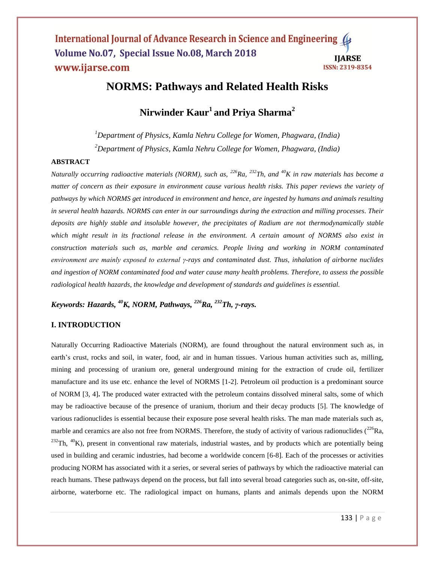# **NORMS: Pathways and Related Health Risks**

# **Nirwinder Kaur<sup>1</sup> and Priya Sharma<sup>2</sup>**

*<sup>1</sup>Department of Physics, Kamla Nehru College for Women, Phagwara, (India) <sup>2</sup>Department of Physics, Kamla Nehru College for Women, Phagwara, (India)*

#### **ABSTRACT**

*Naturally occurring radioactive materials (NORM), such as, <sup>226</sup>Ra, <sup>232</sup>Th, and <sup>40</sup>K in raw materials has become a matter of concern as their exposure in environment cause various health risks. This paper reviews the variety of pathways by which NORMS get introduced in environment and hence, are ingested by humans and animals resulting in several health hazards. NORMS can enter in our surroundings during the extraction and milling processes. Their deposits are highly stable and insoluble however, the precipitates of Radium are not thermodynamically stable which might result in its fractional release in the environment. A certain amount of NORMS also exist in construction materials such as, marble and ceramics. People living and working in NORM contaminated environment are mainly exposed to external γ-rays and contaminated dust. Thus, inhalation of airborne nuclides and ingestion of NORM contaminated food and water cause many health problems. Therefore, to assess the possible radiological health hazards, the knowledge and development of standards and guidelines is essential.*

*Keywords: Hazards, <sup>40</sup>K, NORM, Pathways, <sup>226</sup>Ra, <sup>232</sup>Th, γ-rays.*

## **I. INTRODUCTION**

Naturally Occurring Radioactive Materials (NORM), are found throughout the natural environment such as, in earth's crust, rocks and soil, in water, food, air and in human tissues. Various human activities such as, milling, mining and processing of uranium ore, general underground mining for the extraction of crude oil, fertilizer manufacture and its use etc. enhance the level of NORMS [1-2]. Petroleum oil production is a predominant source of NORM [3, 4]**.** The produced water extracted with the petroleum contains dissolved mineral salts, some of which may be radioactive because of the presence of uranium, thorium and their decay products [5]. The knowledge of various radionuclides is essential because their exposure pose several health risks. The man made materials such as, marble and ceramics are also not free from NORMS. Therefore, the study of activity of various radionuclides  $(^{226}Ra$ ,  $232$ Th,  $40$ K), present in conventional raw materials, industrial wastes, and by products which are potentially being used in building and ceramic industries, had become a worldwide concern [6-8]*.* Each of the processes or activities producing NORM has associated with it a series, or several series of pathways by which the radioactive material can reach humans. These pathways depend on the process, but fall into several broad categories such as, on-site, off-site, airborne, waterborne etc. The radiological impact on humans, plants and animals depends upon the NORM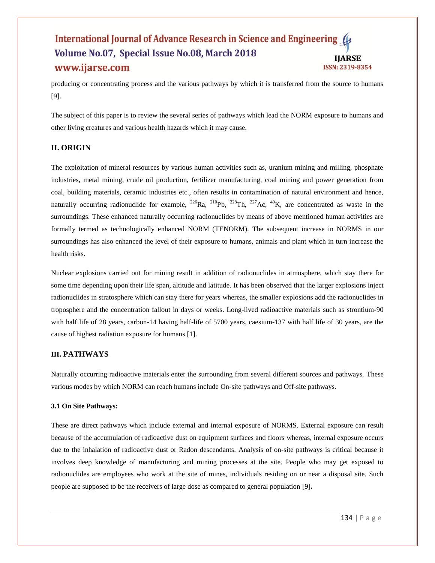producing or concentrating process and the various pathways by which it is transferred from the source to humans [9].

The subject of this paper is to review the several series of pathways which lead the NORM exposure to humans and other living creatures and various health hazards which it may cause.

## **II. ORIGIN**

The exploitation of mineral resources by various human activities such as, uranium mining and milling, phosphate industries, metal mining, crude oil production, fertilizer manufacturing, coal mining and power generation from coal, building materials, ceramic industries etc., often results in contamination of natural environment and hence, naturally occurring radionuclide for example,  $^{226}Ra$ ,  $^{210}Pb$ ,  $^{228}Th$ ,  $^{227}Ac$ ,  $^{40}K$ , are concentrated as waste in the surroundings. These enhanced naturally occurring radionuclides by means of above mentioned human activities are formally termed as technologically enhanced NORM (TENORM). The subsequent increase in NORMS in our surroundings has also enhanced the level of their exposure to humans, animals and plant which in turn increase the health risks.

Nuclear explosions carried out for mining result in addition of radionuclides in atmosphere, which stay there for some time depending upon their life span, altitude and latitude. It has been observed that the larger explosions inject radionuclides in stratosphere which can stay there for years whereas, the smaller explosions add the radionuclides in troposphere and the concentration fallout in days or weeks. Long-lived radioactive materials such as strontium-90 with half life of 28 years, carbon-14 having half-life of 5700 years, caesium-137 with half life of 30 years, are the cause of highest radiation exposure for humans [1].

## **III. PATHWAYS**

Naturally occurring radioactive materials enter the surrounding from several different sources and pathways. These various modes by which NORM can reach humans include On-site pathways and Off-site pathways.

## **3.1 On Site Pathways:**

These are direct pathways which include external and internal exposure of NORMS. External exposure can result because of the accumulation of radioactive dust on equipment surfaces and floors whereas, internal exposure occurs due to the inhalation of radioactive dust or Radon descendants. Analysis of on-site pathways is critical because it involves deep knowledge of manufacturing and mining processes at the site. People who may get exposed to radionuclides are employees who work at the site of mines, individuals residing on or near a disposal site. Such people are supposed to be the receivers of large dose as compared to general population [9]**.**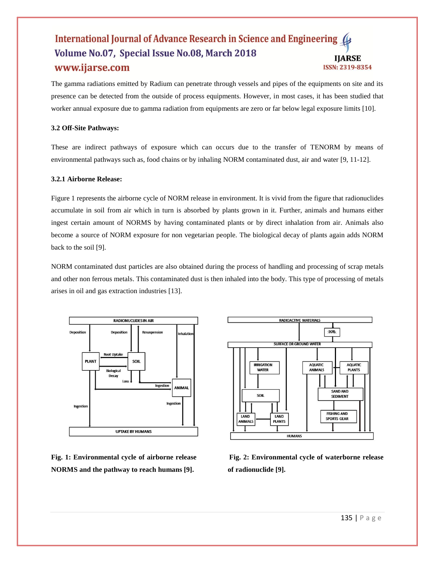The gamma radiations emitted by Radium can penetrate through vessels and pipes of the equipments on site and its presence can be detected from the outside of process equipments. However, in most cases, it has been studied that worker annual exposure due to gamma radiation from equipments are zero or far below legal exposure limits [10].

## **3.2 Off-Site Pathways:**

These are indirect pathways of exposure which can occurs due to the transfer of TENORM by means of environmental pathways such as, food chains or by inhaling NORM contaminated dust, air and water [9, 11-12].

## **3.2.1 Airborne Release:**

Figure 1 represents the airborne cycle of NORM release in environment. It is vivid from the figure that radionuclides accumulate in soil from air which in turn is absorbed by plants grown in it. Further, animals and humans either ingest certain amount of NORMS by having contaminated plants or by direct inhalation from air. Animals also become a source of NORM exposure for non vegetarian people. The biological decay of plants again adds NORM back to the soil [9].

NORM contaminated dust particles are also obtained during the process of handling and processing of scrap metals and other non ferrous metals. This contaminated dust is then inhaled into the body. This type of processing of metals arises in oil and gas extraction industries [13].



**NORMS and the pathway to reach humans [9]. of radionuclide [9].** 



**Fig. 1: Environmental cycle of airborne release Fig. 2: Environmental cycle of waterborne release**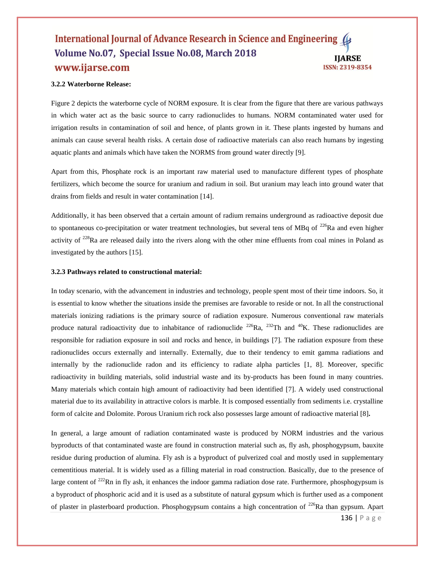#### **3.2.2 Waterborne Release:**

Figure 2 depicts the waterborne cycle of NORM exposure. It is clear from the figure that there are various pathways in which water act as the basic source to carry radionuclides to humans. NORM contaminated water used for irrigation results in contamination of soil and hence, of plants grown in it. These plants ingested by humans and animals can cause several health risks. A certain dose of radioactive materials can also reach humans by ingesting aquatic plants and animals which have taken the NORMS from ground water directly [9].

Apart from this, Phosphate rock is an important raw material used to manufacture different types of phosphate fertilizers, which become the source for uranium and radium in soil. But uranium may leach into ground water that drains from fields and result in water contamination [14].

Additionally, it has been observed that a certain amount of radium remains underground as radioactive deposit due to spontaneous co-precipitation or water treatment technologies, but several tens of MBq of  $^{226}$ Ra and even higher activity of  $228$ Ra are released daily into the rivers along with the other mine effluents from coal mines in Poland as investigated by the authors [15].

#### **3.2.3 Pathways related to constructional material:**

In today scenario, with the advancement in industries and technology, people spent most of their time indoors. So, it is essential to know whether the situations inside the premises are favorable to reside or not. In all the constructional materials ionizing radiations is the primary source of radiation exposure. Numerous conventional raw materials produce natural radioactivity due to inhabitance of radionuclide  $^{226}Ra$ ,  $^{232}Th$  and  $^{40}K$ . These radionuclides are responsible for radiation exposure in soil and rocks and hence, in buildings [7]*.* The radiation exposure from these radionuclides occurs externally and internally. Externally, due to their tendency to emit gamma radiations and internally by the radionuclide radon and its efficiency to radiate alpha particles [1, 8]. Moreover, specific radioactivity in building materials, solid industrial waste and its by-products has been found in many countries. Many materials which contain high amount of radioactivity had been identified [7]. A widely used constructional material due to its availability in attractive colors is marble. It is composed essentially from sediments i.e. crystalline form of calcite and Dolomite. Porous Uranium rich rock also possesses large amount of radioactive material [8]**.**

In general, a large amount of radiation contaminated waste is produced by NORM industries and the various byproducts of that contaminated waste are found in construction material such as, fly ash, phosphogypsum, bauxite residue during production of alumina. Fly ash is a byproduct of pulverized coal and mostly used in supplementary cementitious material. It is widely used as a filling material in road construction. Basically, due to the presence of large content of  $^{222}$ Rn in fly ash, it enhances the indoor gamma radiation dose rate. Furthermore, phosphogypsum is a byproduct of phosphoric acid and it is used as a substitute of natural gypsum which is further used as a component of plaster in plasterboard production. Phosphogypsum contains a high concentration of  $^{226}$ Ra than gypsum. Apart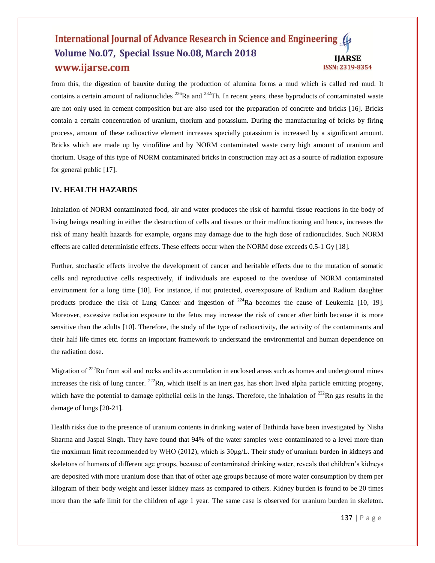from this, the digestion of bauxite during the production of alumina forms a mud which is called red mud. It contains a certain amount of radionuclides  $^{226}$ Ra and  $^{232}$ Th. In recent years, these byproducts of contaminated waste are not only used in cement composition but are also used for the preparation of concrete and bricks [16]. Bricks contain a certain concentration of uranium, thorium and potassium. During the manufacturing of bricks by firing process, amount of these radioactive element increases specially potassium is increased by a significant amount. Bricks which are made up by vinofiline and by NORM contaminated waste carry high amount of uranium and thorium. Usage of this type of NORM contaminated bricks in construction may act as a source of radiation exposure for general public [17].

## **IV. HEALTH HAZARDS**

Inhalation of NORM contaminated food, air and water produces the risk of harmful tissue reactions in the body of living beings resulting in either the destruction of cells and tissues or their malfunctioning and hence, increases the risk of many health hazards for example, organs may damage due to the high dose of radionuclides. Such NORM effects are called deterministic effects. These effects occur when the NORM dose exceeds 0.5-1 Gy [18].

Further, stochastic effects involve the development of cancer and heritable effects due to the mutation of somatic cells and reproductive cells respectively, if individuals are exposed to the overdose of NORM contaminated environment for a long time [18]. For instance, if not protected, overexposure of Radium and Radium daughter products produce the risk of Lung Cancer and ingestion of  $^{224}$ Ra becomes the cause of Leukemia [10, 19]. Moreover, excessive radiation exposure to the fetus may increase the risk of cancer after birth because it is more sensitive than the adults [10]. Therefore, the study of the type of radioactivity, the activity of the contaminants and their half life times etc. forms an important framework to understand the environmental and human dependence on the radiation dose.

Migration of  $222$ Rn from soil and rocks and its accumulation in enclosed areas such as homes and underground mines increases the risk of lung cancer.  $^{222}$ Rn, which itself is an inert gas, has short lived alpha particle emitting progeny, which have the potential to damage epithelial cells in the lungs. Therefore, the inhalation of  $^{222}$ Rn gas results in the damage of lungs [20**-**21].

Health risks due to the presence of uranium contents in drinking water of Bathinda have been investigated by Nisha Sharma and Jaspal Singh. They have found that 94% of the water samples were contaminated to a level more than the maximum limit recommended by WHO (2012), which is 30μg/L. Their study of uranium burden in kidneys and skeletons of humans of different age groups, because of contaminated drinking water, reveals that children's kidneys are deposited with more uranium dose than that of other age groups because of more water consumption by them per kilogram of their body weight and lesser kidney mass as compared to others. Kidney burden is found to be 20 times more than the safe limit for the children of age 1 year. The same case is observed for uranium burden in skeleton.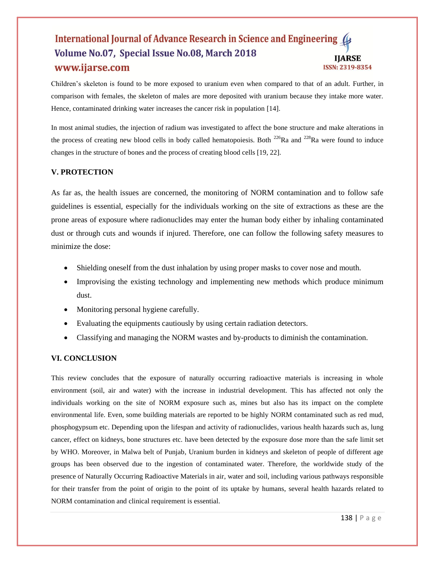Children's skeleton is found to be more exposed to uranium even when compared to that of an adult. Further, in comparison with females, the skeleton of males are more deposited with uranium because they intake more water. Hence, contaminated drinking water increases the cancer risk in population [14].

In most animal studies, the injection of radium was investigated to affect the bone structure and make alterations in the process of creating new blood cells in body called hematopoiesis. Both  $^{226}Ra$  and  $^{228}Ra$  were found to induce changes in the structure of bones and the process of creating blood cells [19, 22].

# **V. PROTECTION**

As far as, the health issues are concerned, the monitoring of NORM contamination and to follow safe guidelines is essential, especially for the individuals working on the site of extractions as these are the prone areas of exposure where radionuclides may enter the human body either by inhaling contaminated dust or through cuts and wounds if injured. Therefore, one can follow the following safety measures to minimize the dose:

- Shielding oneself from the dust inhalation by using proper masks to cover nose and mouth.
- Improvising the existing technology and implementing new methods which produce minimum dust.
- Monitoring personal hygiene carefully.
- Evaluating the equipments cautiously by using certain radiation detectors.
- Classifying and managing the NORM wastes and by-products to diminish the contamination.

# **VI. CONCLUSION**

This review concludes that the exposure of naturally occurring radioactive materials is increasing in whole environment (soil, air and water) with the increase in industrial development. This has affected not only the individuals working on the site of NORM exposure such as, mines but also has its impact on the complete environmental life. Even, some building materials are reported to be highly NORM contaminated such as red mud, phosphogypsum etc. Depending upon the lifespan and activity of radionuclides, various health hazards such as, lung cancer, effect on kidneys, bone structures etc. have been detected by the exposure dose more than the safe limit set by WHO. Moreover, in Malwa belt of Punjab, Uranium burden in kidneys and skeleton of people of different age groups has been observed due to the ingestion of contaminated water. Therefore, the worldwide study of the presence of Naturally Occurring Radioactive Materials in air, water and soil, including various pathways responsible for their transfer from the point of origin to the point of its uptake by humans, several health hazards related to NORM contamination and clinical requirement is essential.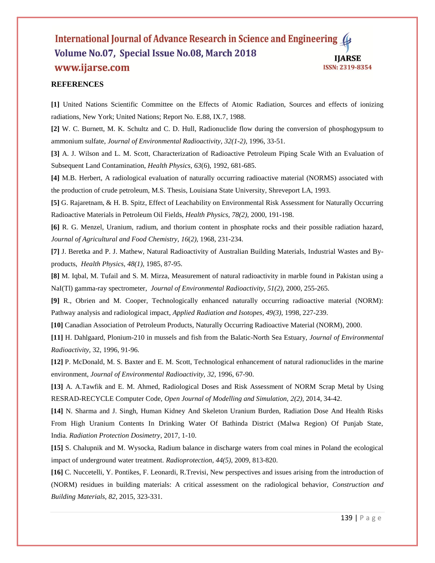## **REFERENCES**

**[1]** United Nations Scientific Committee on the Effects of Atomic Radiation, Sources and effects of ionizing radiations, New York; United Nations; Report No. E.88, IX.7, 1988.

**[2]** W. C. Burnett, M. K. Schultz and C. D. Hull, Radionuclide flow during the conversion of phosphogypsum to ammonium sulfate, *Journal of Environmental Radioactivity, 32(1-2),* 1996, 33-51.

**[3]** A. J. Wilson and L. M. Scott, Characterization of Radioactive Petroleum Piping Scale With an Evaluation of Subsequent Land Contamination, *Health Physics, 63*(6), 1992, 681-685.

**[4]** M.B. Herbert, A radiological evaluation of naturally occurring radioactive material (NORMS) associated with the production of crude petroleum, M.S. Thesis, Louisiana State University, Shreveport LA, 1993.

**[5]** G. Rajaretnam, & H. B. Spitz, Effect of Leachability on Environmental Risk Assessment for Naturally Occurring Radioactive Materials in Petroleum Oil Fields, *Health Physics, 78(2),* 2000, 191-198.

**[6]** R. G. Menzel, Uranium, radium, and thorium content in phosphate rocks and their possible radiation hazard, *Journal of Agricultural and Food Chemistry, 16*(*2),* 1968, 231-234.

**[7]** J. Beretka and P. J. Mathew, Natural Radioactivity of Australian Building Materials, Industrial Wastes and Byproducts, *Health Physics, 48(1),* 1985, 87-95.

**[8]** M. Iqbal, M. Tufail and S. M. Mirza, Measurement of natural radioactivity in marble found in Pakistan using a NaI(Tl) gamma-ray spectrometer, *Journal of Environmental Radioactivity, 51(2),* 2000, 255-265.

**[9]** R., Obrien and M. Cooper, Technologically enhanced naturally occurring radioactive material (NORM): Pathway analysis and radiological impact, *Applied Radiation and Isotopes, 49(3),* 1998, 227-239.

**[10]** Canadian Association of Petroleum Products, Naturally Occurring Radioactive Material (NORM), 2000.

**[11]** H. Dahlgaard, Plonium-210 in mussels and fish from the Balatic-North Sea Estuary, *Journal of Environmental Radioactivity,* 32, 1996, 91-96.

**[12]** P. McDonald, M. S. Baxter and E. M. Scott, Technological enhancement of natural radionuclides in the marine environment, *Journal of Environmental Radioactivity, 32*, 1996, 67-90.

**[13]** A. A.Tawfik and E. M. Ahmed, Radiological Doses and Risk Assessment of NORM Scrap Metal by Using RESRAD-RECYCLE Computer Code, *Open Journal of Modelling and Simulation, 2(2),* 2014, 34-42.

**[14]** N. Sharma and J. Singh, Human Kidney And Skeleton Uranium Burden, Radiation Dose And Health Risks From High Uranium Contents In Drinking Water Of Bathinda District (Malwa Region) Of Punjab State, India. *Radiation Protection Dosimetry*, 2017, 1-10.

**[15]** S. Chalupnik and M. Wysocka, Radium balance in discharge waters from coal mines in Poland the ecological impact of underground water treatment. *Radioprotection, 44(5)*, 2009, 813-820.

**[16]** C. Nuccetelli, Y. Pontikes, F. Leonardi, R.Trevisi, New perspectives and issues arising from the introduction of (NORM) residues in building materials: A critical assessment on the radiological behavior, *Construction and Building Materials, 82*, 2015, 323-331.